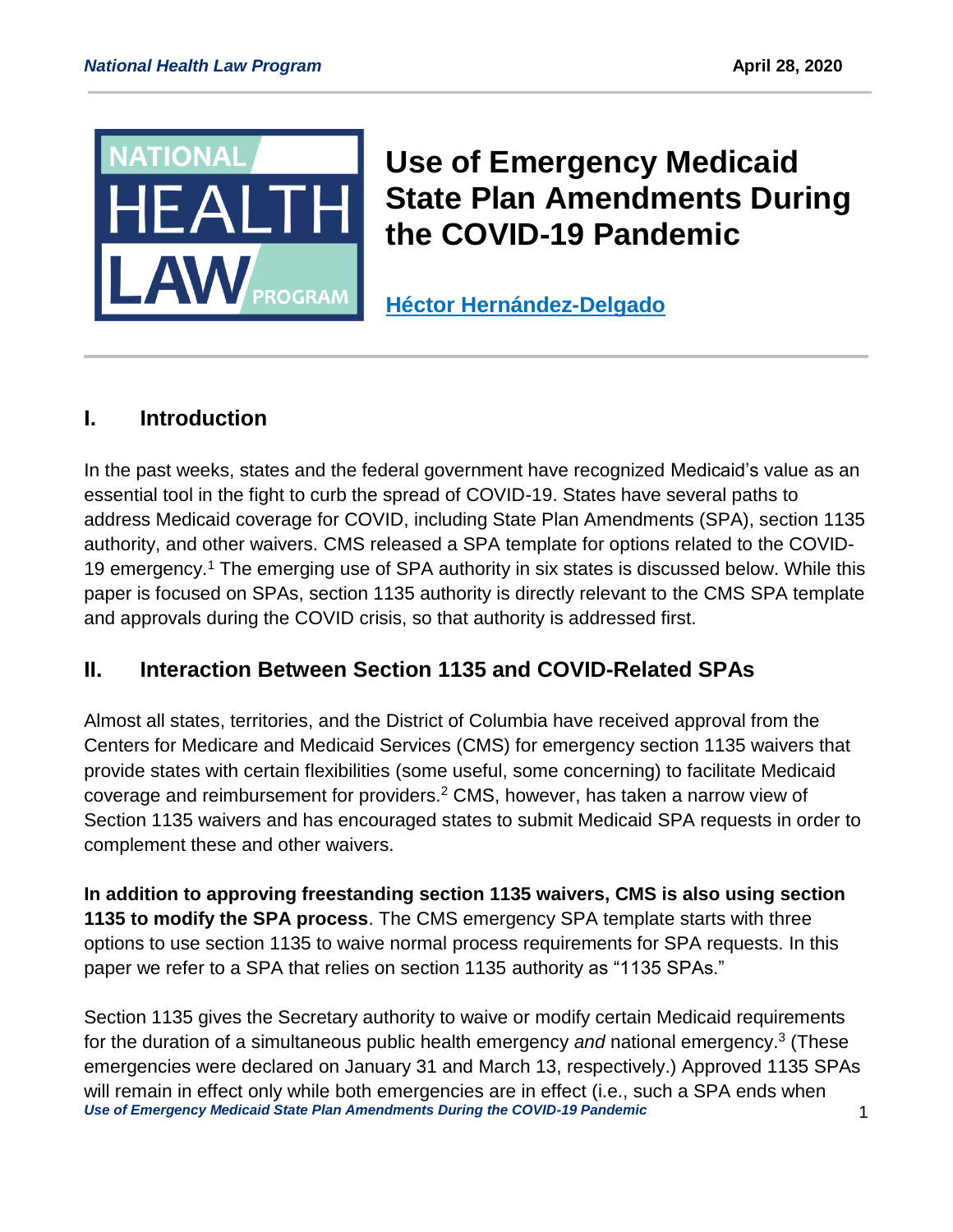

# **Use of Emergency Medicaid State Plan Amendments During the COVID-19 Pandemic**

**[Héctor Hernández-Delgado](https://healthlaw.org/team/hectorhernandezdelgado/)**

## **I. Introduction**

In the past weeks, states and the federal government have recognized Medicaid's value as an essential tool in the fight to curb the spread of COVID-19. States have several paths to address Medicaid coverage for COVID, including State Plan Amendments (SPA), section 1135 authority, and other waivers. CMS released a SPA template for options related to the COVID-19 emergency.<sup>1</sup> The emerging use of SPA authority in six states is discussed below. While this paper is focused on SPAs, section 1135 authority is directly relevant to the CMS SPA template and approvals during the COVID crisis, so that authority is addressed first.

#### **II. Interaction Between Section 1135 and COVID-Related SPAs**

Almost all states, territories, and the District of Columbia have received approval from the Centers for Medicare and Medicaid Services (CMS) for emergency section 1135 waivers that provide states with certain flexibilities (some useful, some concerning) to facilitate Medicaid coverage and reimbursement for providers.<sup>2</sup> CMS, however, has taken a narrow view of Section 1135 waivers and has encouraged states to submit Medicaid SPA requests in order to complement these and other waivers.

**In addition to approving freestanding section 1135 waivers, CMS is also using section 1135 to modify the SPA process**. The CMS emergency SPA template starts with three options to use section 1135 to waive normal process requirements for SPA requests. In this paper we refer to a SPA that relies on section 1135 authority as "1135 SPAs."

*Use of Emergency Medicaid State Plan Amendments During the COVID-19 Pandemic* 1 Section 1135 gives the Secretary authority to waive or modify certain Medicaid requirements for the duration of a simultaneous public health emergency *and* national emergency. 3 (These emergencies were declared on January 31 and March 13, respectively.) Approved 1135 SPAs will remain in effect only while both emergencies are in effect (i.e., such a SPA ends when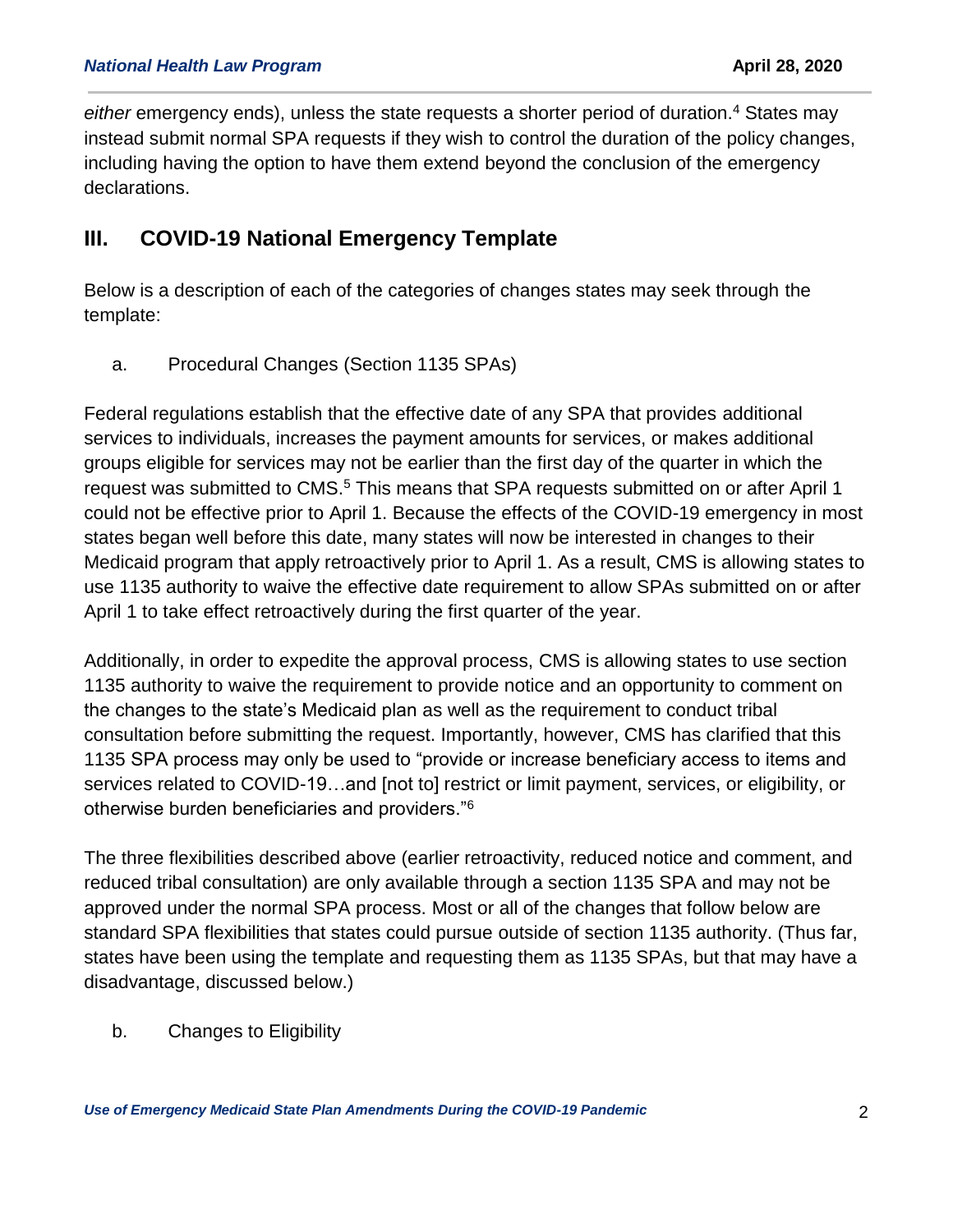either emergency ends), unless the state requests a shorter period of duration.<sup>4</sup> States may instead submit normal SPA requests if they wish to control the duration of the policy changes, including having the option to have them extend beyond the conclusion of the emergency declarations.

#### **III. COVID-19 National Emergency Template**

Below is a description of each of the categories of changes states may seek through the template:

a. Procedural Changes (Section 1135 SPAs)

Federal regulations establish that the effective date of any SPA that provides additional services to individuals, increases the payment amounts for services, or makes additional groups eligible for services may not be earlier than the first day of the quarter in which the request was submitted to CMS.<sup>5</sup> This means that SPA requests submitted on or after April 1 could not be effective prior to April 1. Because the effects of the COVID-19 emergency in most states began well before this date, many states will now be interested in changes to their Medicaid program that apply retroactively prior to April 1. As a result, CMS is allowing states to use 1135 authority to waive the effective date requirement to allow SPAs submitted on or after April 1 to take effect retroactively during the first quarter of the year.

Additionally, in order to expedite the approval process, CMS is allowing states to use section 1135 authority to waive the requirement to provide notice and an opportunity to comment on the changes to the state's Medicaid plan as well as the requirement to conduct tribal consultation before submitting the request. Importantly, however, CMS has clarified that this 1135 SPA process may only be used to "provide or increase beneficiary access to items and services related to COVID-19…and [not to] restrict or limit payment, services, or eligibility, or otherwise burden beneficiaries and providers."<sup>6</sup>

The three flexibilities described above (earlier retroactivity, reduced notice and comment, and reduced tribal consultation) are only available through a section 1135 SPA and may not be approved under the normal SPA process. Most or all of the changes that follow below are standard SPA flexibilities that states could pursue outside of section 1135 authority. (Thus far, states have been using the template and requesting them as 1135 SPAs, but that may have a disadvantage, discussed below.)

b. Changes to Eligibility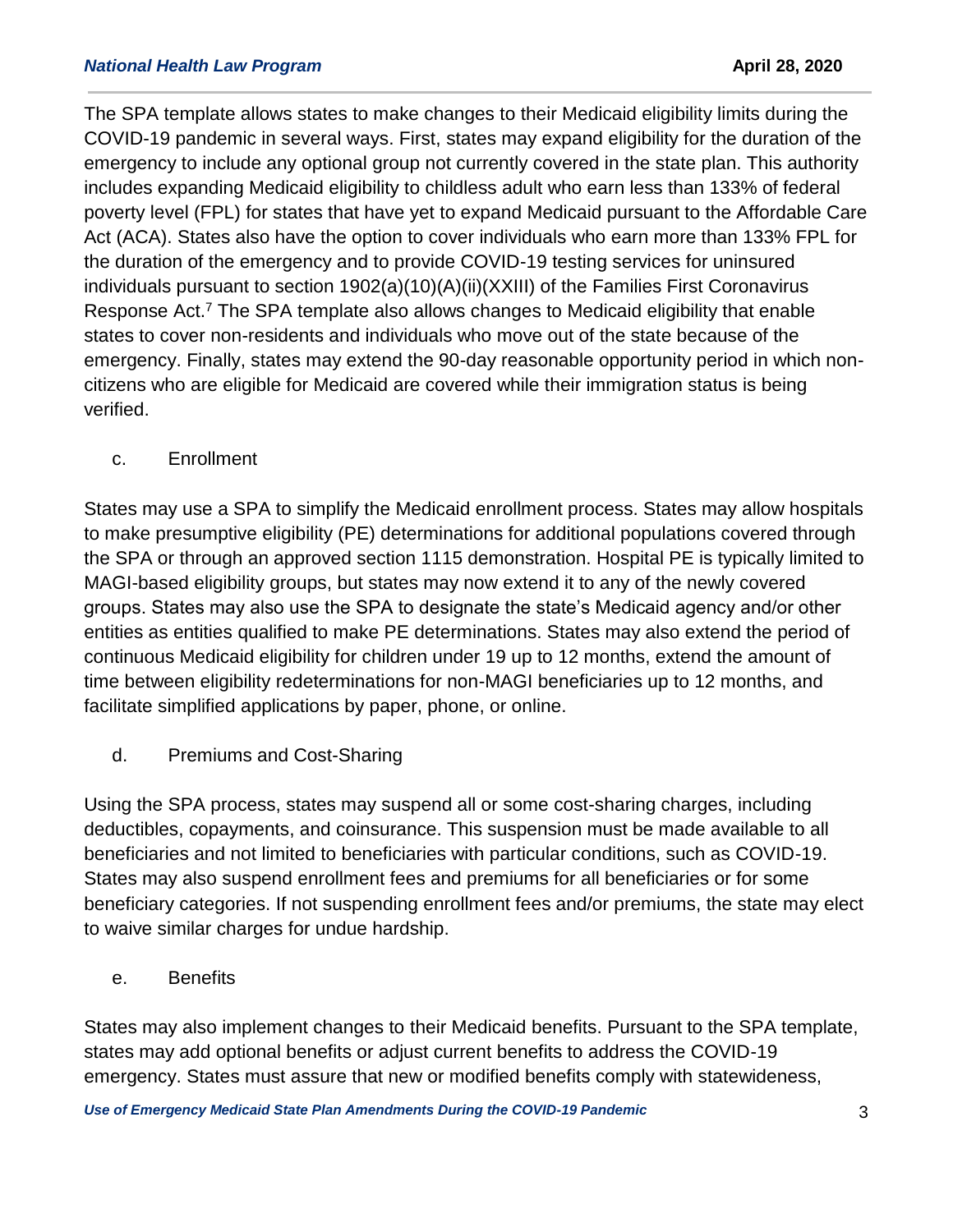The SPA template allows states to make changes to their Medicaid eligibility limits during the COVID-19 pandemic in several ways. First, states may expand eligibility for the duration of the emergency to include any optional group not currently covered in the state plan. This authority includes expanding Medicaid eligibility to childless adult who earn less than 133% of federal poverty level (FPL) for states that have yet to expand Medicaid pursuant to the Affordable Care Act (ACA). States also have the option to cover individuals who earn more than 133% FPL for the duration of the emergency and to provide COVID-19 testing services for uninsured individuals pursuant to section 1902(a)(10)(A)(ii)(XXIII) of the Families First Coronavirus Response Act.<sup>7</sup> The SPA template also allows changes to Medicaid eligibility that enable states to cover non-residents and individuals who move out of the state because of the emergency. Finally, states may extend the 90-day reasonable opportunity period in which noncitizens who are eligible for Medicaid are covered while their immigration status is being verified.

c. Enrollment

States may use a SPA to simplify the Medicaid enrollment process. States may allow hospitals to make presumptive eligibility (PE) determinations for additional populations covered through the SPA or through an approved section 1115 demonstration. Hospital PE is typically limited to MAGI-based eligibility groups, but states may now extend it to any of the newly covered groups. States may also use the SPA to designate the state's Medicaid agency and/or other entities as entities qualified to make PE determinations. States may also extend the period of continuous Medicaid eligibility for children under 19 up to 12 months, extend the amount of time between eligibility redeterminations for non-MAGI beneficiaries up to 12 months, and facilitate simplified applications by paper, phone, or online.

d. Premiums and Cost-Sharing

Using the SPA process, states may suspend all or some cost-sharing charges, including deductibles, copayments, and coinsurance. This suspension must be made available to all beneficiaries and not limited to beneficiaries with particular conditions, such as COVID-19. States may also suspend enrollment fees and premiums for all beneficiaries or for some beneficiary categories. If not suspending enrollment fees and/or premiums, the state may elect to waive similar charges for undue hardship.

e. Benefits

States may also implement changes to their Medicaid benefits. Pursuant to the SPA template, states may add optional benefits or adjust current benefits to address the COVID-19 emergency. States must assure that new or modified benefits comply with statewideness,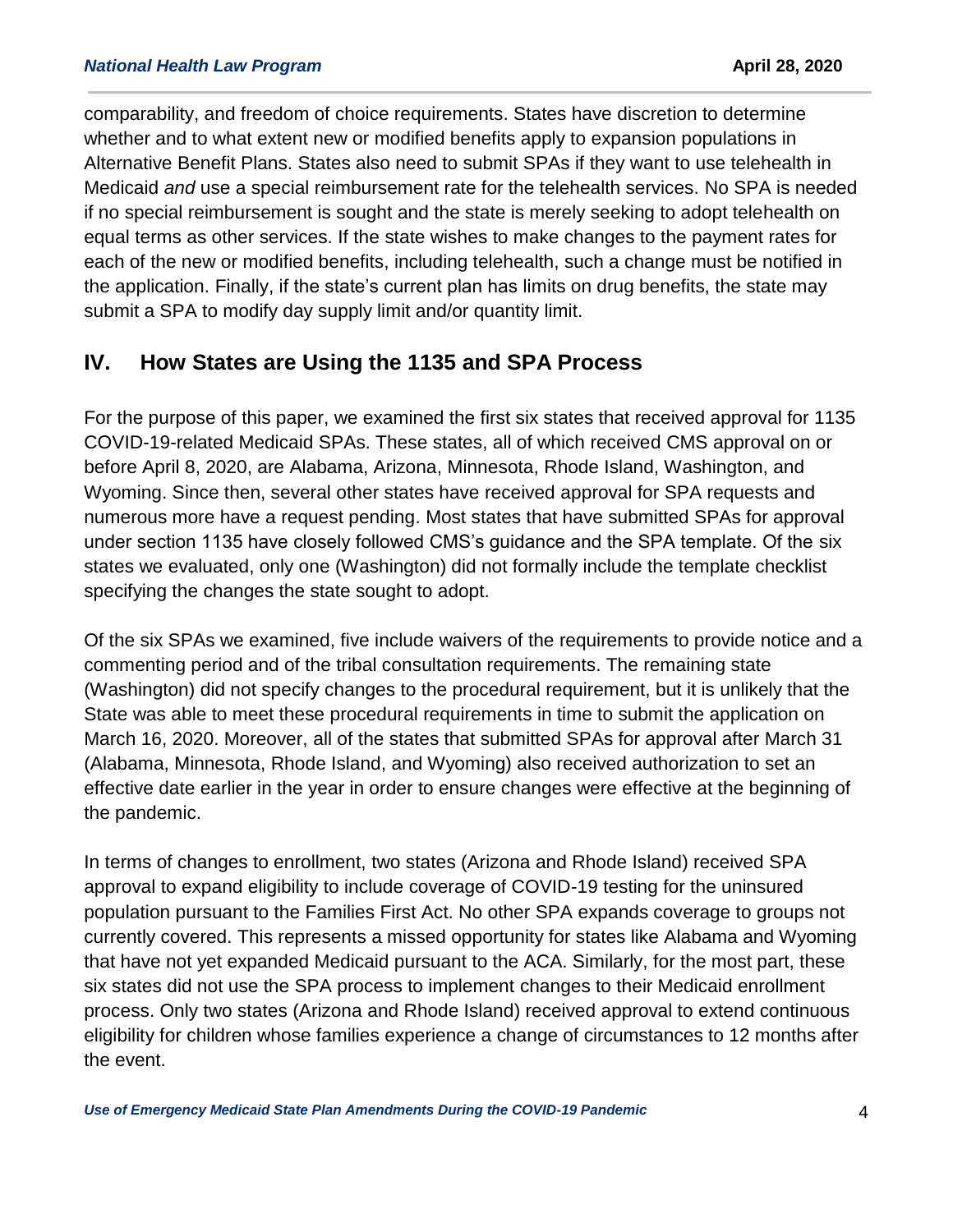comparability, and freedom of choice requirements. States have discretion to determine whether and to what extent new or modified benefits apply to expansion populations in Alternative Benefit Plans. States also need to submit SPAs if they want to use telehealth in Medicaid *and* use a special reimbursement rate for the telehealth services. No SPA is needed if no special reimbursement is sought and the state is merely seeking to adopt telehealth on equal terms as other services. If the state wishes to make changes to the payment rates for each of the new or modified benefits, including telehealth, such a change must be notified in the application. Finally, if the state's current plan has limits on drug benefits, the state may submit a SPA to modify day supply limit and/or quantity limit.

#### **IV. How States are Using the 1135 and SPA Process**

For the purpose of this paper, we examined the first six states that received approval for 1135 COVID-19-related Medicaid SPAs. These states, all of which received CMS approval on or before April 8, 2020, are Alabama, Arizona, Minnesota, Rhode Island, Washington, and Wyoming. Since then, several other states have received approval for SPA requests and numerous more have a request pending. Most states that have submitted SPAs for approval under section 1135 have closely followed CMS's guidance and the SPA template. Of the six states we evaluated, only one (Washington) did not formally include the template checklist specifying the changes the state sought to adopt.

Of the six SPAs we examined, five include waivers of the requirements to provide notice and a commenting period and of the tribal consultation requirements. The remaining state (Washington) did not specify changes to the procedural requirement, but it is unlikely that the State was able to meet these procedural requirements in time to submit the application on March 16, 2020. Moreover, all of the states that submitted SPAs for approval after March 31 (Alabama, Minnesota, Rhode Island, and Wyoming) also received authorization to set an effective date earlier in the year in order to ensure changes were effective at the beginning of the pandemic.

In terms of changes to enrollment, two states (Arizona and Rhode Island) received SPA approval to expand eligibility to include coverage of COVID-19 testing for the uninsured population pursuant to the Families First Act. No other SPA expands coverage to groups not currently covered. This represents a missed opportunity for states like Alabama and Wyoming that have not yet expanded Medicaid pursuant to the ACA. Similarly, for the most part, these six states did not use the SPA process to implement changes to their Medicaid enrollment process. Only two states (Arizona and Rhode Island) received approval to extend continuous eligibility for children whose families experience a change of circumstances to 12 months after the event.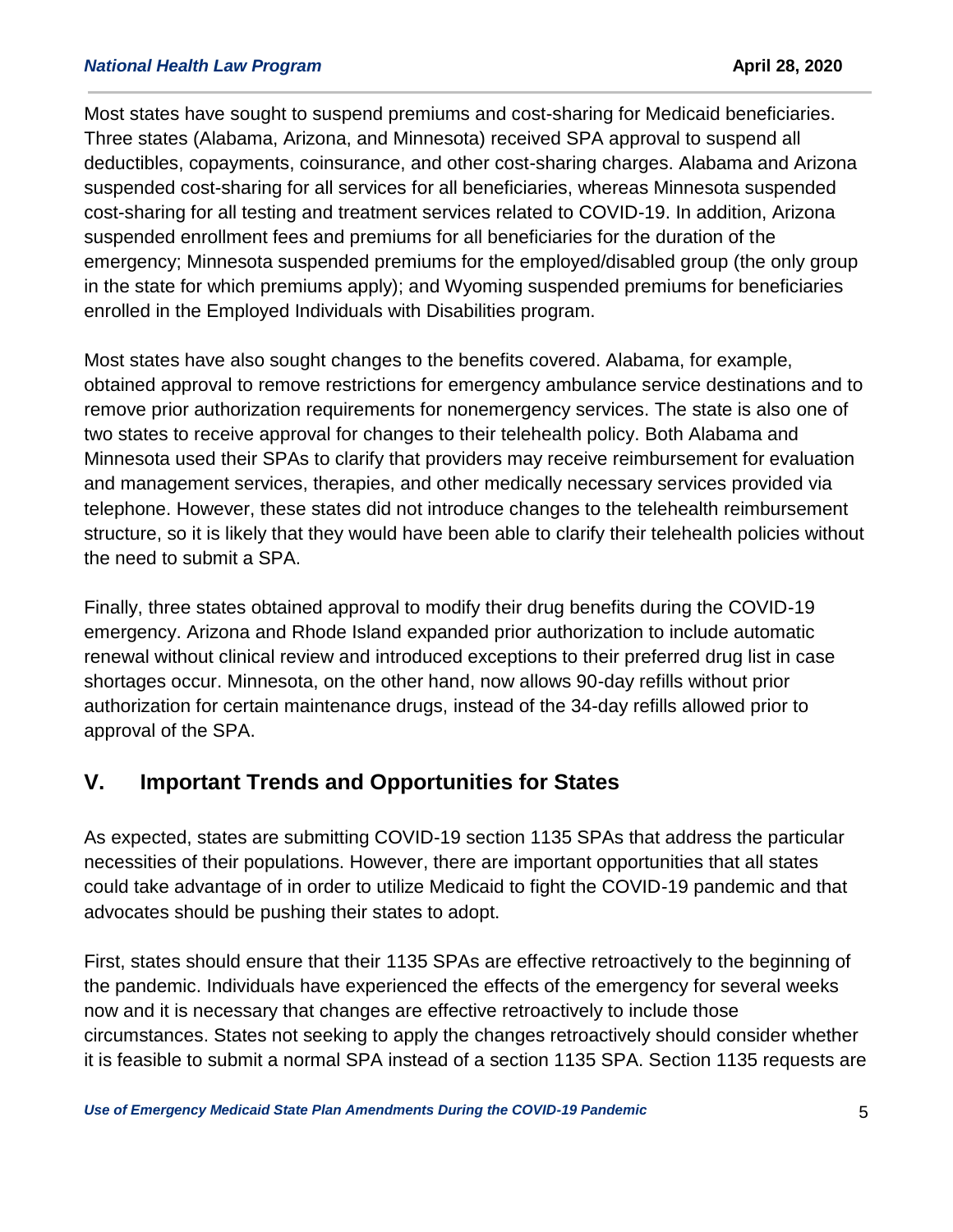Most states have sought to suspend premiums and cost-sharing for Medicaid beneficiaries. Three states (Alabama, Arizona, and Minnesota) received SPA approval to suspend all deductibles, copayments, coinsurance, and other cost-sharing charges. Alabama and Arizona suspended cost-sharing for all services for all beneficiaries, whereas Minnesota suspended cost-sharing for all testing and treatment services related to COVID-19. In addition, Arizona suspended enrollment fees and premiums for all beneficiaries for the duration of the emergency; Minnesota suspended premiums for the employed/disabled group (the only group in the state for which premiums apply); and Wyoming suspended premiums for beneficiaries enrolled in the Employed Individuals with Disabilities program.

Most states have also sought changes to the benefits covered. Alabama, for example, obtained approval to remove restrictions for emergency ambulance service destinations and to remove prior authorization requirements for nonemergency services. The state is also one of two states to receive approval for changes to their telehealth policy. Both Alabama and Minnesota used their SPAs to clarify that providers may receive reimbursement for evaluation and management services, therapies, and other medically necessary services provided via telephone. However, these states did not introduce changes to the telehealth reimbursement structure, so it is likely that they would have been able to clarify their telehealth policies without the need to submit a SPA.

Finally, three states obtained approval to modify their drug benefits during the COVID-19 emergency. Arizona and Rhode Island expanded prior authorization to include automatic renewal without clinical review and introduced exceptions to their preferred drug list in case shortages occur. Minnesota, on the other hand, now allows 90-day refills without prior authorization for certain maintenance drugs, instead of the 34-day refills allowed prior to approval of the SPA.

#### **V. Important Trends and Opportunities for States**

As expected, states are submitting COVID-19 section 1135 SPAs that address the particular necessities of their populations. However, there are important opportunities that all states could take advantage of in order to utilize Medicaid to fight the COVID-19 pandemic and that advocates should be pushing their states to adopt.

First, states should ensure that their 1135 SPAs are effective retroactively to the beginning of the pandemic. Individuals have experienced the effects of the emergency for several weeks now and it is necessary that changes are effective retroactively to include those circumstances. States not seeking to apply the changes retroactively should consider whether it is feasible to submit a normal SPA instead of a section 1135 SPA. Section 1135 requests are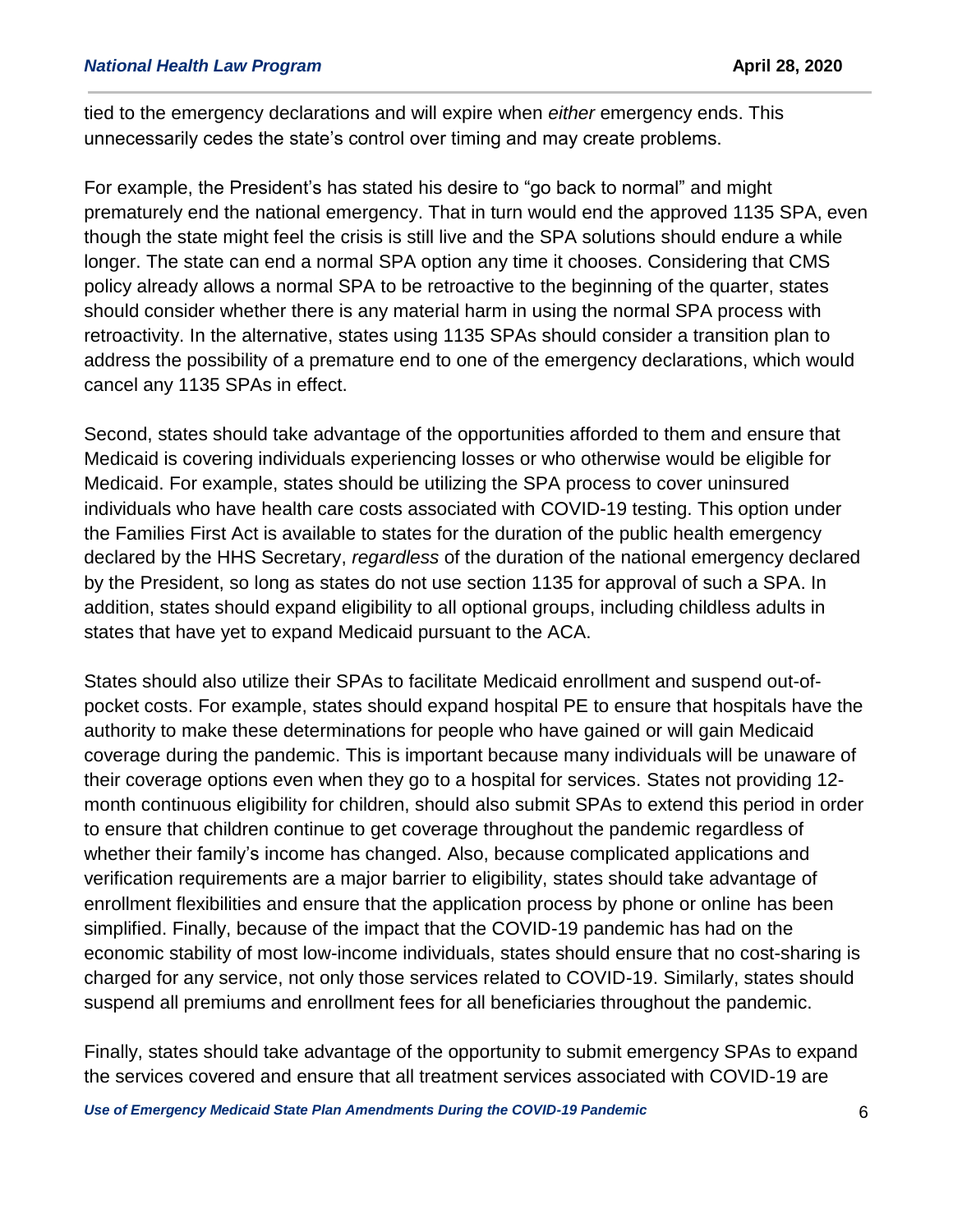tied to the emergency declarations and will expire when *either* emergency ends. This unnecessarily cedes the state's control over timing and may create problems.

For example, the President's has stated his desire to "go back to normal" and might prematurely end the national emergency. That in turn would end the approved 1135 SPA, even though the state might feel the crisis is still live and the SPA solutions should endure a while longer. The state can end a normal SPA option any time it chooses. Considering that CMS policy already allows a normal SPA to be retroactive to the beginning of the quarter, states should consider whether there is any material harm in using the normal SPA process with retroactivity. In the alternative, states using 1135 SPAs should consider a transition plan to address the possibility of a premature end to one of the emergency declarations, which would cancel any 1135 SPAs in effect.

Second, states should take advantage of the opportunities afforded to them and ensure that Medicaid is covering individuals experiencing losses or who otherwise would be eligible for Medicaid. For example, states should be utilizing the SPA process to cover uninsured individuals who have health care costs associated with COVID-19 testing. This option under the Families First Act is available to states for the duration of the public health emergency declared by the HHS Secretary, *regardless* of the duration of the national emergency declared by the President, so long as states do not use section 1135 for approval of such a SPA. In addition, states should expand eligibility to all optional groups, including childless adults in states that have yet to expand Medicaid pursuant to the ACA.

States should also utilize their SPAs to facilitate Medicaid enrollment and suspend out-ofpocket costs. For example, states should expand hospital PE to ensure that hospitals have the authority to make these determinations for people who have gained or will gain Medicaid coverage during the pandemic. This is important because many individuals will be unaware of their coverage options even when they go to a hospital for services. States not providing 12 month continuous eligibility for children, should also submit SPAs to extend this period in order to ensure that children continue to get coverage throughout the pandemic regardless of whether their family's income has changed. Also, because complicated applications and verification requirements are a major barrier to eligibility, states should take advantage of enrollment flexibilities and ensure that the application process by phone or online has been simplified. Finally, because of the impact that the COVID-19 pandemic has had on the economic stability of most low-income individuals, states should ensure that no cost-sharing is charged for any service, not only those services related to COVID-19. Similarly, states should suspend all premiums and enrollment fees for all beneficiaries throughout the pandemic.

Finally, states should take advantage of the opportunity to submit emergency SPAs to expand the services covered and ensure that all treatment services associated with COVID-19 are

*Use of Emergency Medicaid State Plan Amendments During the COVID-19 Pandemic*